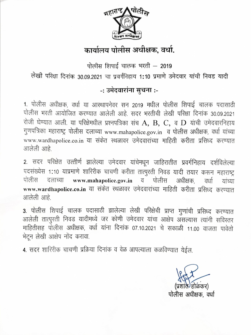

## कार्यालय पोलीस अधीक्षक, वर्धा.

पोलीस शिपाई चालक भरती - 2019 लेखी परिक्षा दिनांक 30.09.2021 चा प्रवर्गनिहाय 1:10 प्रमाणे उमेदवार यांची निवड यादी

## -: उमेदवारांना सुचना :-

1. पोलीस अधीक्षक, वर्धा या आस्थापनेवर सन 2019 मधील पोलीस शिपाई चालक पदासाठी पोलीस भरती आयोजित करण्यात आलेली आहे. सदर भरतीची लेखी परिक्षा दिनांक 30.09.2021 रोजी घेण्यात आली. या परिक्षेमधील प्रश्नपत्रिका संच  $\mathbf{A}, \ \mathbf{B}, \ \mathbf{C}, \ \mathbf{a}$   $\mathbf{D}$  यांची उमेदवारनिहाय गुणपत्रिका महाराष्ट्र पोलीस दलाच्या www.mahapolice.gov.in व पोलीस अधीक्षक, वर्धा यांच्या www.wardhapolice.co.in या संकेत स्थळावर उमेदवारांच्या माहिती करीता प्रसिध्द करण्यात आलेली आहे

2. सदर परिक्षेत उत्तीर्ण झालेल्या उमेदवार यांचेमधून जाहिरातीत प्रवर्गनिहाय दर्शविलेल्या पदसंख्येस 1:10 याप्रमाणे शारिरीक चाचणी करीता तात्पुरती निवड यादी तयार करून महाराष्ट्र पोलीस दलाच्या www.mahapolice.gov.in पोलीस अधीक्षक व वर्धा यांच्या www.wardhapolice.co.in या संकेत स्थळावर उमेदवारांच्या माहिती करीता प्रसिध्द करण्यात आलेली आहे.

3. पोलीस शिपाई चालक पदासाठी झालेल्या लेखी परिक्षेची प्राप्त गुणांची प्रसिध्द करण्यात आलेली तात्पुरती निवड यादीमध्ये जर कोणी उमेदवार यांचा आक्षेप असल्यास त्यांनी सविस्तर माहितीसह पोलीस अधीक्षक, वर्धा यांना दिनांक 07.10.2021 चे सकाळी 11.00 वाजता पावेतो भेटून लेखी आक्षेप नोंद करावा.

4. सदर शारिरीक चाचणी प्रक्रिया दिनांक व वेळ आपल्याला कळविण्यात येईल.

पोलीस अधीक्षक, वर्धा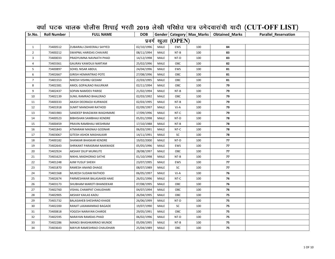## वर्धा घटक चालक पोलीस शिपाई भरती 2019 लेखी परिक्षेत पात्र उमेदवारांची यादी (CUT-OFF LIST)

| Sr.No.         | <b>Roll Number</b> | <b>FULL NAME</b>                | <b>DOB</b> |      |                     |     | Gender   Category   Max_Marks   Obtained_Marks | <b>Parallel Reservation</b> |
|----------------|--------------------|---------------------------------|------------|------|---------------------|-----|------------------------------------------------|-----------------------------|
|                |                    |                                 |            |      | प्रवर्ग खुला (OPEN) |     |                                                |                             |
| $\mathbf{1}$   | 73400512           | ZUBAIRALI ZAHEERALI SAYYED      | 02/10/1996 | MALE | <b>EWS</b>          | 100 | 84                                             |                             |
| $\overline{2}$ | 73400212           | SWAPNIL HARIDAS CHAVARE         | 08/11/1994 | MALE | NT-B                | 100 | 83                                             |                             |
| 3              | 73400033           | PRADYUMNA NAVNATH PHAD          | 14/12/1998 | MALE | NT-D                | 100 | 83                                             |                             |
| 4              | 73403361           | GAURAV KAWDUJI NARTAM           | 25/02/1996 | MALE | OBC                 | 100 | 82                                             |                             |
| 5              | 73400897           | SOHEL NISAR ABDUL               | 24/04/1996 | MALE | EWS                 | 100 | 81                                             |                             |
| 6              | 73402667           | <b>GIRISH HEMANTRAO POTE</b>    | 27/08/1996 | MALE | OBC                 | 100 | 81                                             |                             |
| $\overline{7}$ | 73401553           | NIKESH VISHNU GEDAM             | 22/03/1995 | MALE | OBC                 | 100 | 81                                             |                             |
| 8              | 73402381           | AMOL GOPALRAO RAJURKAR          | 02/11/1994 | MALE | OBC                 | 100 | 79                                             |                             |
| 9              | 73402437           | SOPAN NAMDEV PARISE             | 21/02/1994 | MALE | NT-B                | 100 | 79                                             |                             |
| 10             | 73402139           | SUNIL RAMRAO BHALERAO           | 02/03/1992 | MALE | OBC                 | 100 | 79                                             |                             |
| 11             | 73400333           | AKASH DEORAOJI KURWADE          | 02/03/1995 | MALE | NT-B                | 100 | 79                                             |                             |
| 12             | 73401918           | SUMIT MANOHAR RATHOD            | 02/09/1997 | MALE | VJ-A                | 100 | 79                                             |                             |
| 13             | 73401983           | SANDEEP BHAGWAN WAGHMARE        | 17/09/1996 | MALE | NT-C                | 100 | 79                                             |                             |
| 14             | 73400523           | BIBHISHAN SAMBHAJI KENDRE       | 05/01/1998 | MALE | NT-D                | 100 | 78                                             |                             |
| 15             | 73400459           | PRAVIN RAMBHAU MESHRAM          | 17/10/1988 | MALE | NT-B                | 100 | 78                                             |                             |
| 16             | 73401843           | ATMARAM MASNAJI GODNAR          | 06/03/1991 | MALE | NT-C                | 100 | 78                                             |                             |
| 17             | 73403067           | GITESH ASHOK MASHALKAR          | 14/11/1991 | MALE | SC                  | 100 | 78                                             |                             |
| 18             | 73400182           | SHANKAR BHASKAR KENDRE          | 19/02/2000 | MALE | NT-D                | 100 | 77                                             |                             |
| 19             | 73402643           | SHRIKANT PARASRAM NAIKWADE      | 05/05/1996 | MALE | EWS                 | 100 | 77                                             |                             |
| 20             | 73402924           | AKSHAY DILIP MURKUTE            | 28/08/1997 | MALE | OBC                 | 100 | 77                                             |                             |
| 21             | 73401623           | NIKHIL MADHORAO SATHE           | 01/10/1998 | MALE | $NT-B$              | 100 | 77                                             |                             |
| 22             | 73401248           | AJIM YUSUF SHEKH                | 23/07/1995 | MALE | <b>EWS</b>          | 100 | 77                                             |                             |
| 23             | 73401870           | RAMESH ANAND DHAGE              | 08/07/1989 | MALE | SC                  | 100 | 77                                             |                             |
| 24             | 73401568           | MUKESH SUDAM RATHOD             | 06/05/1997 | MALE | VJ-A                | 100 | 76                                             |                             |
| 25             | 73402674           | PARMESHWAR BALASAHEB HAKE       | 26/01/1996 | MALE | NT-C                | 100 | 76                                             |                             |
| 26             | 73403173           | SHUBHAM MAROTI BHANDEKAR        | 07/08/1995 | MALE | OBC                 | 100 | 76                                             |                             |
| 27             | 73402760           | VISHAL CHAMPAT CHAUDHARI        | 04/07/1994 | MALE | OBC                 | 100 | 76                                             |                             |
| 28             | 73402905           | AKSHAY KAILAS KADU              | 26/04/1995 | MALE | OBC                 | 100 | 75                                             |                             |
| 29             | 73401732           | <b>BALASAHEB SHESHRAO KHADE</b> | 26/06/1999 | MALE | NT-D                | 100 | 75                                             |                             |
| 30             | 73402200           | RANJIT LAXAMANRAO BAGADE        | 19/07/1990 | MALE | SC                  | 100 | 75                                             |                             |
| 31             | 73400818           | YOGESH NARAYAN CHARDE           | 29/05/1991 | MALE | OBC                 | 100 | 75                                             |                             |
| 32             | 73402595           | NARAYAN RAMDAS PHAD             | 06/02/1996 | MALE | NT-D                | 100 | 75                                             |                             |
| 33             | 73402286           | MANOJ BHASHKARRAO MUNDE         | 05/09/1995 | MALE | NT-B                | 100 | 75                                             |                             |
| 34             | 73403643           | MAYUR RAMESHRAO CHAUDHARI       | 25/04/1989 | MALE | OBC                 | 100 | 75                                             |                             |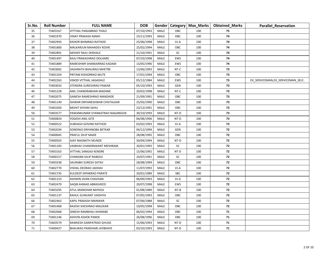| Sr.No. | <b>Roll Number</b> | <b>FULL NAME</b>                | <b>DOB</b> |             |            | Gender   Category   Max_Marks | <b>Obtained_Marks</b> | <b>Parallel Reservation</b>        |
|--------|--------------------|---------------------------------|------------|-------------|------------|-------------------------------|-----------------------|------------------------------------|
| 35     | 73403167           | VITTHAL PANJABRAO THALE         | 07/10/1993 | MALE        | OBC        | 100                           | 75                    |                                    |
| 36     | 73401970           | VINAY PRAKASH MAKH              | 23/11/1993 | <b>MALE</b> | OBC        | 100                           | 74                    |                                    |
| 37     | 73402993           | KISHOR BHIMRAO RATHOD           | 25/06/1998 | MALE        | VJ-A       | 100                           | 74                    |                                    |
| 38     | 73401800           | MALKARJUN MAHADEV KESHE         | 25/02/1994 | MALE        | OBC        | 100                           | 74                    |                                    |
| 39     | 73402891           | AKSHAY RAJU DHEKALE             | 21/10/1991 | MALE        | SC         | 100                           | 74                    |                                    |
| 40     | 73401497           | RAJU PRAKASHRAO DOLHARE         | 07/10/1998 | MALE        | EWS        | 100                           | 74                    |                                    |
| 41     | 73401889           | RAMESHWR SHANKARRAO KADAM       | 13/05/1990 | MALE        | EWS        | 100                           | 74                    |                                    |
| 42     | 73403002           | DASHRATH BHAURAO MHETRE         | 13/06/1993 | MALE        | NT-C       | 100                           | 73                    |                                    |
| 43     | 73401354           | PRITAM KISHORRAO MUTE           | 17/01/1994 | MALE        | OBC        | 100                           | 73                    |                                    |
| 44     | 73402263           | VINOD VITTHAL JAGADALE          | 05/12/1984 | MALE        | EWS        | 100                           | 73                    | EX_SERVICEMAN, EX_SERVICEMAN_SELF, |
| 45     | 73403033           | JITENDRA SURESHRAO PAWAR        | 05/10/1993 | MALE        | <b>GEN</b> | 100                           | 73                    |                                    |
| 46     | 73401228           | ANIL CHANDRABHAN MADANE         | 20/02/1998 | MALE        | NT-C       | 100                           | 73                    |                                    |
| 47     | 73402075           | GANESH RAMESHRAO MANDADE        | 21/09/1991 | MALE        | OBC        | 100                           | 73                    |                                    |
| 48     | 73401149           | ISHWAR DNYANESHWAR CHISTALKAR   | 25/03/1990 | MALE        | OBC        | 100                           | 73                    |                                    |
| 49     | 73401050           | MOHIT SHYAM SAHU                | 23/12/1991 | MALE        | OBC        | 100                           | 73                    |                                    |
| 50     | 73403577           | PAWANKUMAR VYANKATRAO NAGARGOJE | 30/10/1993 | MALE        | NT-D       | 100                           | 73                    |                                    |
| 51     | 73400824           | YOGESH ANIL GITE                | 06/08/1996 | <b>MALE</b> | NT-D       | 100                           | 73                    |                                    |
| 52     | 73400522           | SUBHASH GOVIND RATHOD           | 03/02/1993 | MALE        | $VI-A$     | 100                           | 73                    |                                    |
| 53     | 73402034           | SONERAO DNYANOBA BETKAR         | 04/12/1994 | MALE        | <b>GEN</b> | 100                           | 72                    |                                    |
| 54     | 73400045           | PRAFUL DILIP MADE               | 28/08/1995 | MALE        | OBC        | 100                           | 72                    |                                    |
| 55     | 73400503           | AJAY NAGNATH MUNDE              | 30/04/1994 | MALE        | NT-D       | 100                           | 72                    |                                    |
| 56     | 73401183           | VAIBHAV CHANDRAKANT MESHRAM     | 20/01/1993 | MALE        | SC         | 100                           | 72                    |                                    |
| 57     | 73403163           | VITTHAL SANGAJI KENDRE          | 15/06/1992 | MALE        | NT-D       | 100                           | 72                    |                                    |
| 58     | 73400157           | CHANDAN DILIP RAIBOLE           | 24/07/1991 | MALE        | SC         | 100                           | 72                    |                                    |
| 59     | 73403338           | SAURABH SURESH SATAV            | 28/08/1999 | MALE        | OBC        | 100                           | 72                    |                                    |
| 60     | 73402770           | VISHAL DEORAO JADHAV            | 11/07/1993 | MALE        | VJ-A       | 100                           | 72                    |                                    |
| 61     | 73401735           | KULDEEP DIPAKRAO PARATE         | 20/01/1989 | MALE        | SBC        | 100                           | 72                    |                                    |
| 62     | 73401153           | ASHWIN JIVAN CHAVHAN            | 06/09/1993 | MALE        | VJ-A       | 100                           | 72                    |                                    |
| 63     | 73402479           | SAQIB AHMAD ABRASHEED           | 20/07/1998 | MALE        | <b>EWS</b> | 100                           | 72                    |                                    |
| 64     | 73403295           | ATUL MANOHAR NAYKOJI            | 01/08/1989 | MALE        | NT-B       | 100                           | 72                    |                                    |
| 65     | 73401137           | RAHUL GUNVANT VAIDHYA           | 07/05/1993 | <b>MALE</b> | <b>OBC</b> | 100                           | 72                    |                                    |
| 66     | 73402463           | KAPIL PRAKASH MANWAR            | 07/06/1988 | MALE        | SC         | 100                           | 72                    |                                    |
| 67     | 73401468           | RAJESH SHESHRAO MALEKAR         | 10/05/1998 | MALE        | OBC        | 100                           | 72                    |                                    |
| 68     | 73402068           | DINESH RAMBHAU KHARABE          | 06/02/1994 | MALE        | OBC        | 100                           | 71                    |                                    |
| 69     | 73401146           | ASHVIN ASHOK PANDE              | 26/08/1996 | MALE        | OBC        | 100                           | 71                    |                                    |
| 70     | 73403579           | RAWKESH GANPATRAO GHUGE         | 15/06/1993 | MALE        | NT-D       | 100                           | 71                    |                                    |
| 71     | 73400427           | BHAURAO PANDHARI JAYBHAYE       | 03/10/1993 | <b>MALE</b> | NT-D       | 100                           | 71                    |                                    |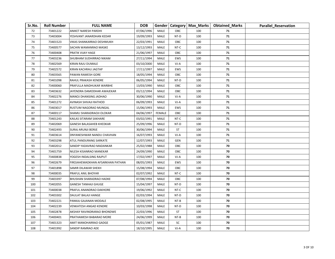| Sr.No. | <b>Roll Number</b> | <b>FULL NAME</b>                 | <b>DOB</b> |               |        | Gender   Category   Max_Marks | <b>Obtained_Marks</b> | <b>Parallel Reservation</b> |
|--------|--------------------|----------------------------------|------------|---------------|--------|-------------------------------|-----------------------|-----------------------------|
| 72     | 73401222           | ANIKET NARESH PARDHI             | 07/06/1996 | MALE          | OBC    | 100                           | 71                    |                             |
| 73     | 73403004           | YESHVANT JANARDHAN KEDAR         | 19/09/1993 | MALE          | NT-D   | 100                           | 71                    |                             |
| 74     | 73401523           | VIKAS SHANKARRAO DESHMUKH        | 22/03/1991 | MALE          | OBC    | 100                           | 71                    |                             |
| 75     | 73400577           | SACHIN WAMANRAO MASKE            | 13/12/1993 | MALE          | NT-C   | 100                           | 71                    |                             |
| 76     | 73400408           | PRATIK VIJAY HAGE                | 21/06/1997 | MALE          | OBC    | 100                           | 71                    |                             |
| 77     | 73403236           | SHUBHAM SUDHIRRAO NIKAM          | 27/11/1994 | MALE          | EWS    | 100                           | 71                    |                             |
| 78     | 73402569           | KIRAN RAJU DUMALE                | 03/10/2000 | MALE          | VJ-A   | 100                           | 71                    |                             |
| 79     | 73402572           | KIRAN KACHRAU JAGTAP             | 17/11/1997 | MALE          | EWS    | 100                           | 71                    |                             |
| 80     | 73403565           | PAWAN RAMESH GORE                | 18/05/1994 | MALE          | OBC    | 100                           | 71                    |                             |
| 81     | 73401098           | RAHUL PRAKASH KENDRE             | 06/05/1994 | MALE          | NT-D   | 100                           | 71                    |                             |
| 82     | 73400060           | PRAFULLA MADHUKAR WARBHE         | 13/03/1990 | MALE          | OBC    | 100                           | 71                    |                             |
| 83     | 73403632           | JAYENDRA DAMODHAR AWAJEKAR       | 03/12/1994 | MALE          | OBC    | 100                           | 71                    |                             |
| 84     | 73402276           | MANOJ DHANSING JADHAO            | 30/06/1990 | MALE          | $VI-A$ | 100                           | 71                    |                             |
| 85     | 73401272           | AVINASH SHIVAJI RATHOD           | 06/09/1993 | MALE          | VJ-A   | 100                           | 71                    |                             |
| 86     | 73403017           | RUSTUM NAGORAO MUNGAL            | 15/06/1993 | MALE          | EWS    | 100                           | 71                    |                             |
| 87     | 73400117           | SHAMLI SHARADRAOJI OLOKAR        | 04/06/1997 | <b>FEMALE</b> | OBC    | 100                           | 71                    |                             |
| 88     | 73401243           | KAILAS SITARAM SAKHARE           | 03/02/1991 | MALE          | NT-C   | 100                           | 71                    |                             |
| 89     | 73402069           | GANESH BALASAHEB KHEDKAR         | 25/09/1996 | MALE          | NT-D   | 100                           | 71                    |                             |
| 90     | 73402493           | SURAJ ARUNJI BORJE               | 30/06/1994 | MALE          | ST     | 100                           | 71                    |                             |
| 91     | 73403614           | DNYANESHWAR NANDU CHAVHAN        | 16/07/1993 | MALE          | $VI-A$ | 100                           | 71                    |                             |
| 92     | 73403298           | ATUL PANDURANG SARKATE           | 12/07/1993 | MALE          | GEN    | 100                           | 71                    |                             |
| 93     | 73402012           | SANDIP YADAVRAO MADANKAR         | 25/02/1988 | MALE          | OBC    | 100                           | 70                    |                             |
| 94     | 73401759           | NILESH KISANRAO MANEKAR          | 24/09/1990 | MALE          | OBC    | 100                           | 70                    |                             |
| 95     | 73400838           | YOGESH INDALSING RAJPUT          | 17/02/1997 | MALE          | VJ-A   | 100                           | 70                    |                             |
| 96     | 73402679           | FIROJAHEMADKHAN AFSARKHAN PATHAN | 08/05/1993 | MALE          | EWS    | 100                           | 70                    |                             |
| 97     | 73401898           | SAMIR DILAWAR SHEKH              | 15/08/1994 | <b>MALE</b>   | OBC    | 100                           | 70                    |                             |
| 98     | 73400035           | PRAFUL ANIL BHOYAR               | 02/07/1992 | MALE          | NT-C   | 100                           | 70                    |                             |
| 99     | 73403397           | BHUSHAN SHARADRAO HADKE          | 07/08/1994 | MALE          | OBC    | 100                           | 70                    |                             |
| 100    | 73402055           | <b>GANESH TANHAJI GHUGE</b>      | 15/04/1997 | MALE          | NT-D   | 100                           | 70                    |                             |
| 101    | 73400038           | PRAFUL ANANDRAO DAKHORE          | 19/06/1992 | MALE          | NT-C   | 100                           | 70                    |                             |
| 102    | 73403302           | DAULAT BALAJI HANGE              | 02/03/1994 | MALE          | NT-D   | 100                           | 70                    |                             |
| 103    | 73402221           | PANKAJ GAJANAN MODALE            | 02/08/1995 | MALE          | $NT-B$ | 100                           | 70                    |                             |
| 104    | 73402239           | VENKATESH ANGAD KENDRE           | 10/03/1998 | MALE          | NT-D   | 100                           | 70                    |                             |
| 105    | 73402878           | AKSHAY RAVINDRARAO BHONDWE       | 22/03/1996 | MALE          | ST     | 100                           | 70                    |                             |
| 106    | 73400401           | PRATHAMESH BABARAO MORE          | 24/06/1999 | MALE          | $NT-B$ | 100                           | 70                    |                             |
| 107    | 73401323           | AMIT MANOHARRAO GADGE            | 05/01/1987 | MALE          | SC     | 100                           | 70                    |                             |
| 108    | 73401992           | SANDIP RAMRAO ADE                | 18/10/1995 | MALE          | VJ-A   | 100                           | 70                    |                             |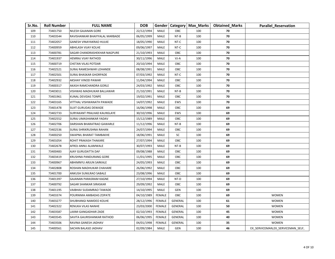| Sr.No. | <b>Roll Number</b> | <b>FULL NAME</b>               | <b>DOB</b> |               |                | Gender   Category   Max_Marks | <b>Obtained_Marks</b> | <b>Parallel Reservation</b>        |
|--------|--------------------|--------------------------------|------------|---------------|----------------|-------------------------------|-----------------------|------------------------------------|
| 109    | 73401750           | NILESH GAJANAN GORE            | 22/12/1994 | MALE          | OBC            | 100                           | 70                    |                                    |
| 110    | 73403544           | RAVISHANKAR BHAIYYALAL MARBADE | 06/05/1999 | MALE          | $NT-B$         | 100                           | 70                    |                                    |
| 111    | 73402057           | <b>GANESH VINAYAKRAO HULKE</b> | 18/05/1990 | MALE          | NT-C           | 100                           | 70                    |                                    |
| 112    | 73400959           | ABHILASH VIJAY KOLHE           | 09/06/1997 | MALE          | NT-C           | 100                           | 70                    |                                    |
| 113    | 73400781           | SAGAR CHANDRASHEKHAR NAGPURE   | 21/10/1993 | MALE          | OBC            | 100                           | 70                    |                                    |
| 114    | 73401937           | <b>HEMRAJ VIJAY RATHOD</b>     | 30/11/1996 | MALE          | $VI-A$         | 100                           | 70                    |                                    |
| 115    | 73400719           | CHETAN VILAS POTDAR            | 20/10/1994 | MALE          | OBC            | 100                           | 70                    |                                    |
| 116    | 73402521           | SURAJ RAMESHWAR LOHANDE        | 08/08/1991 | MALE          | OBC            | 100                           | 70                    |                                    |
| 117    | 73402501           | SURAJ BHASKAR GHORPADE         | 07/03/1992 | MALE          | NT-C           | 100                           | 70                    |                                    |
| 118    | 73402932           | AKSHAY VINOD PAWAR             | 11/04/1994 | <b>MALE</b>   | OBC            | 100                           | 70                    |                                    |
| 119    | 73400317           | AKASH RAMCHANDRA GORLE         | 24/03/1992 | MALE          | OBC            | 100                           | 70                    |                                    |
| 120    | 73403011           | VISHWAS MADHUKAR BALLAWAR      | 21/10/1991 | MALE          | $NT-B$         | 100                           | 70                    |                                    |
| 121    | 73401961           | KUNAL DEVIDAS TONPE            | 19/02/1991 | MALE          | OBC            | 100                           | 70                    |                                    |
| 122    | 73403165           | VITTHAL VISHWANATH PAWADE      | 14/07/1992 | MALE          | <b>EWS</b>     | 100                           | 70                    |                                    |
| 123    | 73401478           | SUJIT GURUDAS DEWADE           | 16/06/1998 | MALE          | OBC            | 100                           | 69                    |                                    |
| 124    | 73402733           | SURYAKANT PRALHAD KAUNSLAYE    | 30/10/1996 | MALE          | <b>EWS</b>     | 100                           | 69                    |                                    |
| 125    | 73402552           | SURAJ UMASHANKAR YADAV         | 15/12/1989 | <b>MALE</b>   | OBC            | 100                           | 69                    |                                    |
| 126    | 73402706           | DARSHAN BHARATRAO GAWARLE      | 11/12/1996 | MALE          | NT-B           | 100                           | 69                    |                                    |
| 127    | 73402536           | SURAJ SHRIKRUSHNA RAHAN        | 24/07/1994 | MALE          | OBC            | 100                           | 69                    |                                    |
| 128    | 73400250           | SWAPNIL BHARAT TAMBAKHE        | 18/06/1991 | MALE          | SC             | 100                           | 69                    |                                    |
| 129    | 73401054           | ROHIT PRAKASH THAKARE          | 27/07/1994 | MALE          | OBC            | 100                           | 69                    |                                    |
| 130    | 73402678           | AFROJ ANNU ALAMWALE            | 30/07/1993 | MALE          | NT-B           | 100                           | 69                    |                                    |
| 131    | 73400483           | AJAY GURUDATTA DAF             | 09/08/1988 | MALE          | OBC            | 100                           | 69                    |                                    |
| 132    | 73403419           | KRUSHNA PANDURANG GORE         | 11/01/1995 | MALE          | <b>OBC</b>     | 100                           | 69                    |                                    |
| 133    | 73400967           | ABHIMNYU ARJUN SARKALE         | 24/05/1993 | MALE          | OBC            | 100                           | 69                    |                                    |
| 134    | 73402808           | ROSHAN MADHUKAR CHAHARE        | 26/06/1992 | MALE          | OBC            | 100                           | 69                    |                                    |
| 135    | 73401700           | ANKUSH SUNILRAO SABALE         | 23/08/1996 | MALE          | OBC            | 100                           | 69                    |                                    |
| 136    | 73401397           | GAJANAN PARASRAM KAGNE         | 27/10/1994 | MALE          | NT-D           | 100                           | 69                    |                                    |
| 137    | 73400792           | SAGAR SHANKAR SIRASKAR         | 29/09/1992 | MALE          | OBC            | 100                           | 69                    |                                    |
| 138    | 73401195           | VAIBHAV SUDAMRAO TAWADE        | 14/10/1995 | MALE          | GEN            | 100                           | 69                    |                                    |
| 139    | 73403374           | POURNIMA AMBADAS ZOPATE        | 04/10/1989 | <b>FEMALE</b> | OBC            | 100                           | 69                    | <b>WOMEN</b>                       |
| 140    | 73403277           | SHUBHANGI NAMDEO KOLHE         | 28/12/1996 | <b>FEMALE</b> | GENERAL        | 100                           | 61                    | <b>WOMEN</b>                       |
| 141    | 73402322           | RENUKA VILAS NANHE             | 23/03/2000 | <b>FEMALE</b> | GENERAL        | 100                           | 50                    | <b>WOMEN</b>                       |
| 142    | 73403587           | LAXMI GANGADHAR ZADE           | 02/10/1993 | <b>FEMALE</b> | GENERAL        | 100                           | 45                    | <b>WOMEN</b>                       |
| 143    | 73403545           | SAVITA GAURISHANKAR RATHOD     | 06/06/1995 | FEMALE        | GENERAL        | 100                           | 40                    | <b>WOMEN</b>                       |
| 144    | 73403506           | RAVINA GANESH JADHAV           | 04/01/1998 | <b>FEMALE</b> | <b>GENERAL</b> | 100                           | 35                    | <b>WOMEN</b>                       |
| 145    | 73400561           | SACHIN BALASO JADHAV           | 02/09/1984 | MALE          | GEN            | 100                           | 46                    | EX_SERVICEMAN, EX_SERVICEMAN_SELF, |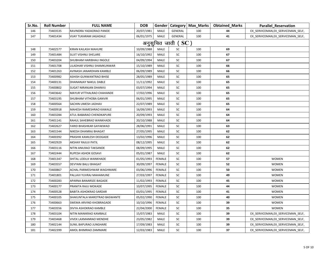| Sr.No. | <b>Roll Number</b> | <b>FULL NAME</b>               | <b>DOB</b> |               |                                 | Gender   Category   Max_Marks | <b>Obtained Marks</b> | <b>Parallel_Reservation</b>        |
|--------|--------------------|--------------------------------|------------|---------------|---------------------------------|-------------------------------|-----------------------|------------------------------------|
| 146    | 73403535           | RAVINDRA YADAORAO PANDE        | 20/07/1981 | MALE          | GENERAL                         | 100                           | 44                    | EX_SERVICEMAN, EX_SERVICEMAN_SELF, |
| 147    | 73401434           | <b>VIJAY TUKARAM JAGADALE</b>  | 06/01/1975 | MALE          | <b>GENERAL</b>                  | 100                           | 41                    | EX_SERVICEMAN, EX_SERVICEMAN_SELF, |
|        |                    |                                |            |               | अनुसूचित जाती ( $\mathbf{SC}$ ) |                               |                       |                                    |
| 148    | 73402577           | KIRAN KAILASH MAHURE           | 10/09/1988 | <b>MALE</b>   | SC                              | 100                           | 69                    |                                    |
| 149    | 73401484           | SUJIT VISHNU SHELARE           | 16/10/1992 | MALE          | SC                              | 100                           | 67                    |                                    |
| 150    | 73403204           | SHUBHAM HARIBHAU INGOLE        | 04/09/1994 | MALE          | SC                              | 100                           | 67                    |                                    |
| 151    | 73401708           | LILADHAR VISHNU SHAMKUNWAR     | 15/10/1989 | MALE          | SC                              | 100                           | 66                    |                                    |
| 152    | 73401263           | AVINASH JANARDHAN KAMBLE       | 06/09/1989 | MALE          | SC                              | 100                           | 66                    |                                    |
| 153    | 73400982           | ASHISH GUNWANTRAO BHISE        | 28/05/1989 | MALE          | SC                              | 100                           | 65                    |                                    |
| 154    | 73400131           | DHANANJAY NAKUL DABLE          | 11/11/1992 | MALE          | SC                              | 100                           | 65                    |                                    |
| 155    | 73400802           | SUGAT NIRANJAN DHANVIJ         | 03/07/1994 | MALE          | SC                              | 100                           | 65                    |                                    |
| 156    | 73403642           | MAYUR VITTHALRAO CHAHANDE      | 17/02/1996 | MALE          | SC                              | 100                           | 65                    |                                    |
| 157    | 73403195           | SHUBHAM VITHOBA GANVIR         | 06/01/1995 | MALE          | SC                              | 100                           | 65                    |                                    |
| 158    | 73400564           | SACHIN UMESH JADHAV            | 22/07/1989 | MALE          | SC                              | 100                           | 65                    |                                    |
| 159    | 73400918           | <b>MAHESH RAMESHRAO KAWALE</b> | 16/09/1993 | MALE          | SC                              | 100                           | 64                    |                                    |
| 160    | 73403284           | ATUL BABARAO CHENDKAPURE       | 20/09/1993 | MALE          | SC                              | 100                           | 64                    |                                    |
| 161    | 73401141           | RAHUL SAHEBRAO WANKHADE        | 20/10/1988 | <b>MALE</b>   | SC                              | 100                           | 64                    |                                    |
| 162    | 73402627           | FARID BHASHKAR GAYAKWAD        | 28/06/1991 | MALE          | SC                              | 100                           | 63                    |                                    |
| 163    | 73401544           | NIKESH DHANRAJ BHAGAT          | 27/05/1995 | MALE          | SC                              | 100                           | 62                    |                                    |
| 164    | 73400392           | PRASHIK KAMLESH DEOGADE        | 13/02/1996 | <b>MALE</b>   | SC                              | 100                           | 62                    |                                    |
| 165    | 73402929           | <b>AKSHAY RAJUJI PATIL</b>     | 08/12/1995 | MALE          | SC                              | 100                           | 62                    |                                    |
| 166    | 73403116           | NITIN ANILRAO TAKSANDE         | 08/09/1995 | <b>MALE</b>   | SC                              | 100                           | 62                    |                                    |
| 167    | 73402444           | RUPESH ASHOK GOSAVI            | 05/01/1987 | MALE          | SC                              | 100                           | 62                    |                                    |
| 168    | 73401347           | SHITAL LODUJI WANKHADE         | 01/05/1993 | <b>FEMALE</b> | SC                              | 100                           | 57                    | <b>WOMEN</b>                       |
| 169    | 73403557           | DEVYANI BALU BHAGAT            | 30/09/1997 | <b>FEMALE</b> | SC                              | 100                           | 52                    | <b>WOMEN</b>                       |
| 170    | 73400867           | ACHAL PARMESHWAR WAGHMARE      | 03/06/1996 | <b>FEMALE</b> | SC                              | 100                           | 50                    | <b>WOMEN</b>                       |
| 171    | 73401801           | PALLAVI YUVRAJ MAHAMUNE        | 27/03/1997 | <b>FEMALE</b> | SC                              | 100                           | 49                    | <b>WOMEN</b>                       |
| 172    | 73400283           | APARNA BANARSEE BAGADE         | 11/02/1993 | <b>FEMALE</b> | SC                              | 100                           | 45                    | <b>WOMEN</b>                       |
| 173    | 73400177           | PRANITA RAJU MOKADE            | 10/07/1995 | <b>FEMALE</b> | SC                              | 100                           | 44                    | <b>WOMEN</b>                       |
| 174    | 73400528           | <b>BABITA ASHOKRAO SARDAR</b>  | 03/01/1995 | FEMALE        | SC                              | 100                           | 41                    | <b>WOMEN</b>                       |
| 175    | 73400105           | SHAKUNTALA MAROTRAO BASWANTE   | 05/02/1990 | <b>FEMALE</b> | SC                              | 100                           | 40                    | <b>WOMEN</b>                       |
| 176    | 73400663           | SWEMA ARVIND KHOBRAGADE        | 10/10/1996 | <b>FEMALE</b> | SC                              | 100                           | 39                    | <b>WOMEN</b>                       |
| 177    | 73403556           | DIVYA ASHOKRAO KAMBLE          | 22/04/2000 | <b>FEMALE</b> | SC                              | 100                           | 35                    | <b>WOMEN</b>                       |
| 178    | 73403104           | NITIN MANIKRAO KAMBALE         | 15/07/1983 | MALE          | SC                              | 100                           | 39                    | EX_SERVICEMAN, EX_SERVICEMAN_SELF, |
| 179    | 73403468           | VIVEK LAXMANRAO MENDHE         | 23/05/1982 | MALE          | SC                              | 100                           | 39                    | EX SERVICEMAN, EX SERVICEMAN SELF, |
| 180    | 73402144           | SUNIL BAPURAO JUNGHARE         | 17/09/1983 | MALE          | SC                              | 100                           | 39                    | EX_SERVICEMAN, EX_SERVICEMAN_SELF, |
| 181    | 73402399           | AMOL BHIMRAO ZAMMARE           | 12/03/1983 | MALE          | SC                              | 100                           | 37                    | EX SERVICEMAN, EX SERVICEMAN SELF, |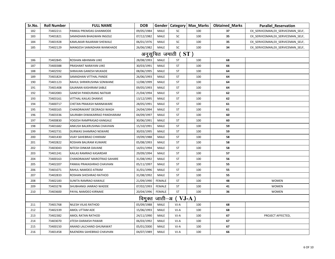| Sr.No. | <b>Roll Number</b> | <b>FULL NAME</b>               | <b>DOB</b> |                |                     | Gender   Category   Max_Marks | <b>Obtained Marks</b> | <b>Parallel_Reservation</b>        |
|--------|--------------------|--------------------------------|------------|----------------|---------------------|-------------------------------|-----------------------|------------------------------------|
| 182    | 73402211           | PANKAJ PREMDAS GHANMODE        | 09/05/1984 | <b>MALE</b>    | SC                  | 100                           | 37                    | EX SERVICEMAN, EX SERVICEMAN SELF, |
| 183    | 73401821           | SAMADHAN BHAGWAN INGOLE        | 07/12/1982 | MALE           | SC                  | 100                           | 35                    | EX_SERVICEMAN, EX_SERVICEMAN_SELF, |
| 184    | 73401928           | KAMLAKAR RAJARAM SHEWALE       | 06/01/1976 | MALE           | SC                  | 100                           | 35                    | EX_SERVICEMAN, EX_SERVICEMAN_SELF, |
| 185    | 73402129           | MANGESH SAMADHAN WANKHADE      | 26/06/1982 | MALE           | SC                  | 100                           | 34                    | EX_SERVICEMAN, EX_SERVICEMAN_SELF, |
|        |                    |                                |            |                | अनुसुचित जमाती ( ST |                               |                       |                                    |
| 186    | 73402845           | ROSHAN ABHIMAN UIKE            | 28/08/1993 | MALE           | ST                  | 100                           | 68                    |                                    |
| 187    | 73400388           | PRASHANT NARAYAN UIKE          | 30/03/1991 | MALE           | ST                  | 100                           | 66                    |                                    |
| 188    | 73402592           | SHRAVAN GANESH MUKADE          | 08/06/1995 | MALE           | ST                  | 100                           | 64                    |                                    |
| 189    | 73401824           | SAMADHAN VITTHAL PANDE         | 26/06/1993 | MALE           | <b>ST</b>           | 100                           | 64                    |                                    |
| 190    | 73401123           | RAHUL SHRIKRUSHNA SONWANE      | 12/08/1999 | MALE           | ST                  | 100                           | 64                    |                                    |
| 191    | 73401408           | GAJANAN KASHIRAM SABLE         | 09/05/1993 | <b>MALE</b>    | ST                  | 100                           | 64                    |                                    |
| 192    | 73402083           | <b>GANESH PANDURANG NATKAR</b> | 21/04/1994 | MALE           | ST                  | 100                           | 62                    |                                    |
| 193    | 73403161           | VITTHAL KAILAS DHANVE          | 13/12/1995 | MALE           | <b>ST</b>           | 100                           | 62                    |                                    |
| 194    | 73400717           | CHETAN PRAKASH NANNAWARE       | 28/05/1991 | MALE           | ST                  | 100                           | 61                    |                                    |
| 195    | 73400165           | CHANDRAKANT DEORAOJI WAGH      | 24/04/1994 | MALE           | ST                  | 100                           | 61                    |                                    |
| 196    | 73403336           | SAURABH DIWAKARRAO PANDHARAM   | 04/09/1997 | MALE           | ST                  | 100                           | 60                    |                                    |
| 197    | 73400830           | YOGESH RAMPRASAD KANGALE       | 30/06/1991 | MALE           | ST                  | 100                           | 60                    |                                    |
| 198    | 73401682           | ANKUSH BALKRUSHNA CHAVHAN      | 15/10/1991 | MALE           | ST                  | 100                           | 59                    |                                    |
| 199    | 73402731           | DURWAS SHAMRAO NEWARE          | 30/03/1995 | MALE           | ST                  | 100                           | 59                    |                                    |
| 200    | 73401430           | VIJAY SAHEBRAO CHIKRAM         | 19/09/1988 | MALE           | ST                  | 100                           | 58                    |                                    |
| 201    | 73402822           | ROSHAN BALIRAM KUMARE          | 05/08/1993 | MALE           | ST                  | 100                           | 58                    |                                    |
| 202    | 73403043           | NITESH DINKAR DAVANE           | 14/01/1994 | MALE           | ST                  | 100                           | 58                    |                                    |
| 203    | 73401241           | KAILAS RAMRAO KASARDAR         | 29/09/1994 | <b>MALE</b>    | ST                  | 100                           | 57                    |                                    |
| 204    | 73400163           | CHANDRAKANT MAROTRAO SAHARE    | 31/08/1992 | MALE           | ST                  | 100                           | 56                    |                                    |
| 205    | 73402207           | PANKAJ PRAKASHRAO CHAVHAN      | 05/11/1997 | MALE           | ST                  | 100                           | 55                    |                                    |
| 206    | 73401071           | RAHUL NAMDEO ATRAM             | 31/01/1996 | MALE           | <b>ST</b>           | 100                           | 55                    |                                    |
| 207    | 73402833           | ROSHAN SHESHRAO RATHOD         | 31/08/1992 | MALE           | <b>ST</b>           | 100                           | 55                    |                                    |
| 208    | 73402183           | SUNITA RAMRAO KAWALE           | 21/09/1990 | <b>FEMALE</b>  | ST                  | 100                           | 48                    | <b>WOMEN</b>                       |
| 209    | 73403278           | SHUBHANGI JANRAO WADDE         | 07/02/1993 | <b>FEMALE</b>  | <b>ST</b>           | 100                           | 41                    | <b>WOMEN</b>                       |
| 210    | 73403600           | PAYAL NAMDEO KIRNAKE           | 20/04/1996 | <b>FEMALE</b>  | ST                  | 100                           | 36                    | <b>WOMEN</b>                       |
|        |                    |                                |            | विमुक्त जाती–अ | VJ-A                |                               |                       |                                    |
| 211    | 73401768           | NILESH VILAS RATHOD            | 05/09/1988 | MALE           | $VI-A$              | 100                           | 68                    |                                    |
| 212    | 73402339           | AMOL UTTAM ADE                 | 15/06/1993 | MALE           | VJ-A                | 100                           | 68                    |                                    |
| 213    | 73402382           | AMOL RATAN RATHOD              | 24/11/1990 | MALE           | VJ-A                | 100                           | 67                    | PROJECT AFFECTED,                  |
| 214    | 73403070           | JITESH DARAKSH PAWAR           | 06/03/1992 | MALE           | $VI-A$              | 100                           | 67                    |                                    |
| 215    | 73400150           | ANAND LALCHAND GHUNAWAT        | 05/01/2000 | MALE           | VJ-A                | 100                           | 67                    |                                    |
| 216    | 73401458           | RAJENDRA SAHEBRAO CHAVHAN      | 04/07/1989 | MALE           | $VI-A$              | 100                           | 66                    |                                    |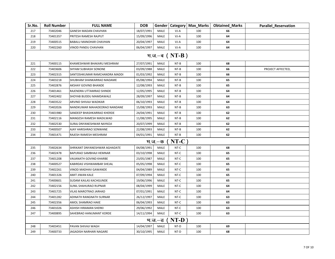| Sr.No. | <b>Roll Number</b> | <b>FULL NAME</b>              | <b>DOB</b> |                |                  | Gender   Category   Max_Marks | <b>Obtained Marks</b> | <b>Parallel Reservation</b> |
|--------|--------------------|-------------------------------|------------|----------------|------------------|-------------------------------|-----------------------|-----------------------------|
| 217    | 73402046           | <b>GANESH MADAN CHAVHAN</b>   | 18/07/1991 | MALE           | VJ-A             | 100                           | 66                    |                             |
| 218    | 73401357           | PRITESH RAMESH RAJPUT         | 15/09/1996 | MALE           | $VI-A$           | 100                           | 64                    |                             |
| 219    | 73400515           | <b>BABALU MANOHAR CHAVHAN</b> | 20/04/1997 | MALE           | $VI-A$           | 100                           | 64                    |                             |
| 220    | 73402260           | VINOD PANDU CHAVHAN           | 06/04/1997 | MALE           | $VI-A$           | 100                           | 64                    |                             |
|        |                    |                               |            |                | म.ज. $-a$ (NT-B) |                               |                       |                             |
| 221    | 73400115           | KHAMESHWAR BHAKARU MESHRAM    | 27/07/1991 | MALE           | $NT-B$           | 100                           | 68                    |                             |
| 222    | 73403606           | SHYAM SUBHASH SONONE          | 03/09/1988 | MALE           | NT-B             | 100                           | 66                    | PROJECT AFFECTED,           |
| 223    | 73402315           | SANTOSHKUMAR RAMCHANDRA MADDI | 01/03/1992 | MALE           | $NT-B$           | 100                           | 66                    |                             |
| 224    | 73403218           | SHUBHAM SHANKARRAO MADAME     | 05/08/1994 | <b>MALE</b>    | $NT-B$           | 100                           | 65                    |                             |
| 225    | 73402876           | AKSHAY GOVIND BHANDE          | 12/08/1993 | MALE           | NT-B             | 100                           | 65                    |                             |
| 226    | 73401461           | RAJENDRA UTTAMRAO SHINDE      | 12/05/1995 | MALE           | $NT-B$           | 100                           | 64                    |                             |
| 227    | 73402402           | SHOYAB BUDDU MAMDAWALE        | 28/09/1997 | MALE           | $NT-B$           | 100                           | 64                    |                             |
| 228    | 73403522           | ARVIND SHIVAJI WADIKAR        | 06/10/1993 | MALE           | $NT-B$           | 100                           | 64                    |                             |
| 229    | 73402026           | NANDKUMAR MAHADEORAO NANDANE  | 15/08/1993 | MALE           | NT-B             | 100                           | 63                    |                             |
| 230    | 73401980           | SANDEEP BHASHKARRAO KHERDE    | 24/04/1991 | MALE           | $NT-B$           | 100                           | 62                    |                             |
| 231    | 73402116           | MANGESH RAMESH MADILWAD       | 11/08/1995 | MALE           | NT-B             | 100                           | 62                    |                             |
| 232    | 73402530           | SURAJ DNYANESHWAR NAYKOJI     | 20/07/1999 | MALE           | $NT-B$           | 100                           | 62                    |                             |
| 233    | 73400507           | AJAY HARISHRAO SONWANE        | 22/08/1993 | MALE           | NT-B             | 100                           | 62                    |                             |
| 234    | 73401471           | RAJESH RAMESH MESHRAM         | 04/01/1991 | MALE           | $NT-B$           | 100                           | 62                    |                             |
|        |                    |                               |            | <u> भ.ज.–क</u> | $NT-C$           |                               |                       |                             |
| 235    | 73402634           | SHRIKANT DNYANESHWAR AGHADATE | 04/08/1991 | MALE           | NT-C             | 100                           | 68                    |                             |
| 236    | 73402478           | BAPURAO SAMBHAJI HEMNAR       | 03/10/1998 | MALE           | NT-C             | 100                           | 65                    |                             |
| 237    | 73401208           | VAIJANATH GOVIND KHARBE       | 23/05/1987 | MALE           | NT-C             | 100                           | 65                    |                             |
| 238    | 73400527           | KABIRDAS VISHWAMBAR SHEJAL    | 05/05/1998 | MALE           | NT-C             | 100                           | 65                    |                             |
| 239    | 73402261           | VINOD MADHAV GAWANDE          | 04/04/1989 | MALE           | NT-C             | 100                           | 65                    |                             |
| 240    | 73401326           | AMIT JIWAN KALE               | 07/09/1994 | MALE           | NT-C             | 100                           | 65                    |                             |
| 241    | 73400601           | SUDAM KAILAS KACHGUNDE        | 19/06/1996 | MALE           | NT-C             | 100                           | 65                    |                             |
| 242    | 73402156           | <b>SUNIL SHAHURAO RUPNAR</b>  | 08/04/1999 | MALE           | NT-C             | 100                           | 64                    |                             |
| 243    | 73401725           | VILAS MAROTRAO JARHAD         | 07/01/1991 | MALE           | NT-C             | 100                           | 64                    |                             |
| 244    | 73401282           | ADINATH RANGNATH SURNAR       | 26/12/1997 | MALE           | NT-C             | 100                           | 63                    |                             |
| 245    | 73402356           | AMOL SHAMRAO HAKE             | 06/04/1993 | MALE           | NT-C             | 100                           | 63                    |                             |
| 246    | 73401026           | ASHISH HIRAMAN SHERKI         | 29/06/1992 | MALE           | NT-C             | 100                           | 63                    |                             |
| 247    | 73400895           | SAHEBRAO HANUMANT KORDE       | 14/11/1994 | MALE           | NT-C             | 100                           | 63                    |                             |
|        |                    |                               |            | म.ज.–ड         | $NT-D$           |                               |                       |                             |
| 248    | 73403451           | PAVAN SHIVAJI WAGH            | 14/04/1997 | MALE           | NT-D             | 100                           | 69                    |                             |
| 249    | 73400733           | JAGADISH NARHARI NAGARE       | 30/10/1995 | MALE           | NT-D             | 100                           | 68                    |                             |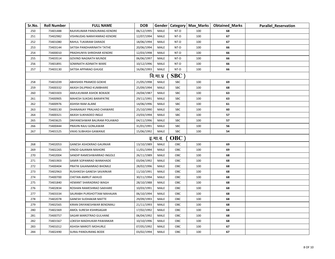| Sr.No. | <b>Roll Number</b> | <b>FULL NAME</b>               | <b>DOB</b> |             |            | Gender   Category   Max_Marks | <b>Obtained Marks</b> | <b>Parallel_Reservation</b> |
|--------|--------------------|--------------------------------|------------|-------------|------------|-------------------------------|-----------------------|-----------------------------|
| 250    | 73401488           | RAJIVKUMAR PANDURANG KENDRE    | 06/12/1995 | MALE        | NT-D       | 100                           | 68                    |                             |
| 251    | 73402982           | VISHNUDAS NARAYANRAO KENDRE    | 12/07/1994 | MALE        | NT-D       | 100                           | 67                    |                             |
| 252    | 73401080           | RAHUL TUKARAM DARADE           | 18/06/1994 | MALE        | NT-D       | 100                           | 67                    |                             |
| 253    | 73403144           | SATISH PANDHARINATH TATHE      | 20/06/1994 | MALE        | NT-D       | 100                           | 66                    |                             |
| 254    | 73400010           | PRADHUNYA SHRIDHAR KENDRE      | 12/03/1998 | MALE        | NT-D       | 100                           | 66                    |                             |
| 255    | 73403514           | <b>GOVIND NAGNATH MUNDE</b>    | 06/06/1997 | MALE        | NT-D       | 100                           | 66                    |                             |
| 256    | 73401891           | SOMINATH ADINATH WARE          | 10/12/1996 | MALE        | NT-D       | 100                           | 66                    |                             |
| 257    | 73403130           | SATISH APPARAO GHUGE           | 16/06/1993 | MALE        | NT-D       | 100                           | 66                    |                             |
|        |                    |                                |            | वि.मा.प्र   | <b>SBC</b> |                               |                       |                             |
| 258    | 73401039           | ABHISHEK PRAMOD GOKHE          | 21/05/1998 | MALE        | SBC        | 100                           | 69                    |                             |
| 259    | 73400332           | AKASH DILIPRAO KUMBHARE        | 25/09/1994 | MALE        | SBC        | 100                           | 68                    |                             |
| 260    | 73403303           | AMULKUMAR ASHOK BOKADE         | 24/04/1987 | MALE        | SBC        | 100                           | 63                    |                             |
| 261    | 73400905           | MAHESH SUKDAS BARAPATRE        | 29/11/1991 | MALE        | SBC        | 100                           | 63                    |                             |
| 262    | 73400976           | ASHISH RAM ALANE               | 14/06/1996 | MALE        | <b>SBC</b> | 100                           | 61                    |                             |
| 263    | 73400130           | DHANANJAY PRALHAD CHAWARE      | 25/10/1990 | MALE        | SBC        | 100                           | 60                    |                             |
| 264    | 73400321           | AKASH SUKHADEO INGLE           | 23/03/1994 | MALE        | <b>SBC</b> | 100                           | 57                    |                             |
| 265    | 73403625           | DNYANESHWAR BALIRAM POLAWAD    | 04/11/1996 | MALE        | <b>SBC</b> | 100                           | 57                    |                             |
| 266    | 73400444           | PRAVIN RAJU GONLAWAR           | 31/01/1991 | MALE        | <b>SBC</b> | 100                           | 56                    |                             |
| 267    | 73401525           | <b>VIKAS SUBHASH GAWANJE</b>   | 15/06/1992 | MALE        | SBC        | 100                           | 54                    |                             |
|        |                    |                                |            | इ.मा.व.     | <b>OBC</b> |                               |                       |                             |
| 268    | 73402053           | <b>GANESH ASHOKRAO GAURKAR</b> | 13/10/1989 | MALE        | OBC        | 100                           | 69                    |                             |
| 269    | 73402265           | VINOD GAJANAN MAHORE           | 11/01/1994 | MALE        | OBC        | 100                           | 69                    |                             |
| 270    | 73402004           | SANDIP RAMESHWARRAO INGOLE     | 26/11/1989 | MALE        | OBC        | 100                           | 68                    |                             |
| 271    | 73401903           | SAMIR SOPANRAO WANKHADE        | 03/04/1992 | MALE        | OBC        | 100                           | 68                    |                             |
| 272    | 73400404           | PRATIK GAJANANRAO BHOMLE       | 28/02/1996 | MALE        | OBC        | 100                           | 68                    |                             |
| 273    | 73402963           | RUSHIKESH GANESH SAVARKAR      | 11/10/1991 | MALE        | OBC        | 100                           | 68                    |                             |
| 274    | 73400700           | CHETAN AMRUT AKHUD             | 30/11/1994 | MALE        | OBC        | 100                           | 68                    |                             |
| 275    | 73401840           | HEMANT SHARADRAO WAGH          | 28/10/1988 | MALE        | OBC        | 100                           | 68                    |                             |
| 276    | 73402834           | ROSHAN RAMESHRAO SAKHARE       | 10/03/1991 | MALE        | OBC        | 100                           | 68                    |                             |
| 277    | 73403334           | SAURABH PURSHOTTAM MAHAJAN     | 06/10/1994 | MALE        | OBC        | 100                           | 68                    |                             |
| 278    | 73402078           | <b>GANESH SUDHAKAR MATTE</b>   | 29/09/1993 | MALE        | OBC        | 100                           | 68                    |                             |
| 279    | 73402565           | KIRAN DNYANESHWAR BENDMALI     | 21/11/1993 | MALE        | OBC        | 100                           | 68                    |                             |
| 280    | 73402369           | AMOL SURESH KSHIRSAGAR         | 17/02/1992 | MALE        | OBC        | 100                           | 68                    |                             |
| 281    | 73400757           | SAGAR MAROTRAO GULHANE         | 06/04/1992 | MALE        | OBC        | 100                           | 68                    |                             |
| 282    | 73401567           | LOKESH MADHUKAR PAWANKAR       | 10/10/1996 | MALE        | OBC        | 100                           | 68                    |                             |
| 283    | 73401012           | ASHISH MAROTI MOHURLE          | 07/05/1992 | MALE        | OBC        | 100                           | 67                    |                             |
| 284    | 73402490           | <b>SURAJ PANDURANG BODE</b>    | 03/02/1994 | <b>MALE</b> | OBC        | 100                           | 67                    |                             |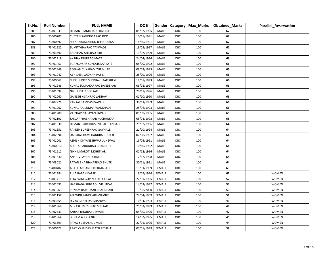| Sr.No. | <b>Roll Number</b> | <b>FULL NAME</b>              | <b>DOB</b> |               |     | Gender   Category   Max_Marks | <b>Obtained_Marks</b> | <b>Parallel_Reservation</b> |
|--------|--------------------|-------------------------------|------------|---------------|-----|-------------------------------|-----------------------|-----------------------------|
| 285    | 73401839           | HEMANT RAMBHAU THAKARE        | 05/07/1995 | MALE          | OBC | 100                           | 67                    |                             |
| 286    | 73400705           | CHETAN RAVINDRARAO DOD        | 10/11/1991 | MALE          | OBC | 100                           | 67                    |                             |
| 287    | 73400697           | SHESHARAM ARJUN BHENDARKAR    | 18/10/1991 | MALE          | OBC | 100                           | 67                    |                             |
| 288    | 73401922           | SUMIT VIJAYRAO TAYWADE        | 19/05/1997 | MALE          | OBC | 100                           | 67                    |                             |
| 289    | 73403390           | BHUSHAN ANILRAO BIRE          | 13/02/1999 | MALE          | OBC | 100                           | 67                    |                             |
| 290    | 73402919           | AKSHAY DILIPRAO MATE          | 24/04/1996 | MALE          | OBC | 100                           | 66                    |                             |
| 291    | 73401451           | VIJAYKUMAR KUNDLIK SARKATE    | 05/09/1992 | MALE          | OBC | 100                           | 66                    |                             |
| 292    | 73402849           | ROSHAN TUKARAM ZURMURE        | 08/03/1993 | MALE          | OBC | 100                           | 66                    |                             |
| 293    | 73401042           | ABHISHEK LAXMAN PATIL         | 25/09/1996 | MALE          | OBC | 100                           | 66                    |                             |
| 294    | 73400662           | SHEKHJUNED SHEKHAKHTAR SHEKH  | 12/01/1993 | MALE          | OBC | 100                           | 66                    |                             |
| 295    | 73401946           | KUNAL SUDHAKARRAO DANDEKAR    | 06/02/1997 | MALE          | OBC | 100                           | 66                    |                             |
| 296    | 73401594           | NIKHIL DILIP BORKAR           | 20/11/1996 | MALE          | OBC | 100                           | 66                    |                             |
| 297    | 73402060           | GANESH KISANRAO JADHAV        | 01/10/1990 | MALE          | OBC | 100                           | 66                    |                             |
| 298    | 73402226           | PANKAJ RAMDAS PAWADE          | 30/11/1989 | MALE          | OBC | 100                           | 66                    |                             |
| 299    | 73401962           | KUNAL RAJKUMAR WANKHADE       | 25/06/1993 | MALE          | OBC | 100                           | 66                    |                             |
| 300    | 73401200           | VAIBHAV NARAYAN TIWADE        | 05/09/1995 | MALE          | OBC | 100                           | 65                    |                             |
| 301    | 73402192           | SANJAY PRABHAKAR KUCHANKAR    | 05/01/1992 | MALE          | OBC | 100                           | 65                    |                             |
| 302    | 73401838           | HEMANT SHRIKRUSHNARAO TANGADE | 29/07/1996 | MALE          | OBC | 100                           | 64                    |                             |
| 303    | 73401551           | RAKESH SURESHRAO GAVHALE      | 21/10/1994 | MALE          | OBC | 100                           | 64                    |                             |
| 304    | 73402694           | HARSHAL RAMCHANDRA DODAKE     | 07/08/1997 | MALE          | OBC | 100                           | 64                    |                             |
| 305    | 73401001           | ASHISH DNYANESHWAR JUNEWAL    | 16/04/1991 | MALE          | OBC | 100                           | 64                    |                             |
| 306    | 73400910           | MAHESH ARUNRAO CHANDORE       | 10/10/1992 | MALE          | OBC | 100                           | 64                    |                             |
| 307    | 73401612           | NIKHIL MAROTI MOHITKAR        | 01/12/1996 | MALE          | OBC | 100                           | 64                    |                             |
| 308    | 73401640           | ANKIT VIJAYRAO CHAFLE         | 17/12/1998 | MALE          | OBC | 100                           | 64                    |                             |
| 309    | 73403021           | RATAN BHASHAKARRAO BHUTE      | 30/11/1991 | MALE          | OBC | 100                           | 64                    |                             |
| 310    | 73400402           | ARATI LAKHANDER PRAJAPATI     | 13/01/1989 | <b>FEMALE</b> | OBC | 100                           | 63                    |                             |
| 311    | 73401384           | PUJA BABAN KAPSE              | 19/09/1996 | <b>FEMALE</b> | OBC | 100                           | 62                    | <b>WOMEN</b>                |
| 312    | 73401419           | TEJASWINI GOVINDRAO GOPAL     | 27/01/1995 | <b>FEMALE</b> | OBC | 100                           | 57                    | <b>WOMEN</b>                |
| 313    | 73402691           | HARSHADA SUBRAOJI VIRUTKAR    | 14/03/1997 | <b>FEMALE</b> | OBC | 100                           | 53                    | <b>WOMEN</b>                |
| 314    | 73401963           | PUNAM RAJKUMAR CHAUDHARI      | 13/08/2000 | <b>FEMALE</b> | OBC | 100                           | 53                    | <b>WOMEN</b>                |
| 315    | 73401158           | ASHWINI PANDHARI MILMILE      | 24/04/1989 | <b>FEMALE</b> | OBC | 100                           | 51                    | <b>WOMEN</b>                |
| 316    | 73403555           | DIVYA ISTARI DARSHANWAR       | 10/04/1994 | FEMALE        | OBC | 100                           | 49                    | <b>WOMEN</b>                |
| 317    | 73401968           | MINAXI UMESHRAO SURKAR        | 25/03/1999 | <b>FEMALE</b> | OBC | 100                           | 49                    | <b>WOMEN</b>                |
| 318    | 73402633           | SARIKA BHOJRAJ DEWASE         | 05/10/1996 | FEMALE        | OBC | 100                           | 47                    | <b>WOMEN</b>                |
| 319    | 73401964           | SONAM ASHOK NIKUDE            | 14/02/1995 | FEMALE        | OBC | 100                           | 45                    | <b>WOMEN</b>                |
| 320    | 73403599           | PAYAL SUBHASH JUMDE           | 22/01/1996 | FEMALE        | OBC | 100                           | 44                    | <b>WOMEN</b>                |
| 321    | 73400422           | PRATIKSHA DASHRATH PITHALE    | 07/01/1999 | FEMALE        | OBC | 100                           | 38                    | <b>WOMEN</b>                |